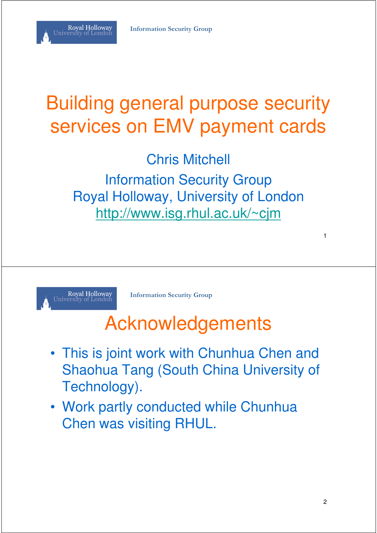# Building general purpose security services on EMV payment cards

Chris Mitchell Information Security Group Royal Holloway, University of London http://www.isg.rhul.ac.uk/~cjm



Royal Holloway<br>University of London

**Information Security Group**

#### Acknowledgements

- This is joint work with Chunhua Chen and Shaohua Tang (South China University of Technology).
- Work partly conducted while Chunhua Chen was visiting RHUL.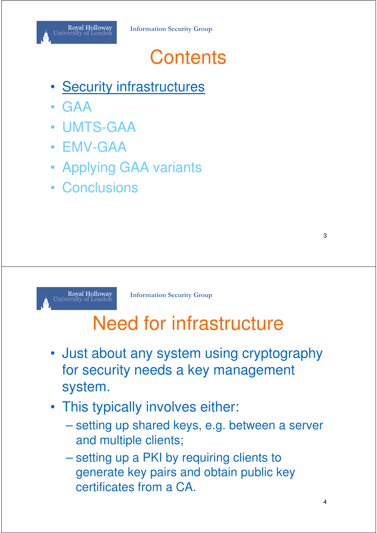

#### **Contents**

- **Security infrastructures**
- GAA
- UMTS-GAA
- EMV-GAA
- Applying GAA variants
- Conclusions



**Information Security Group**

## Need for infrastructure

- Just about any system using cryptography for security needs a key management system.
- This typically involves either:
	- setting up shared keys, e.g. between a server and multiple clients;
	- setting up a PKI by requiring clients to generate key pairs and obtain public key certificates from a CA.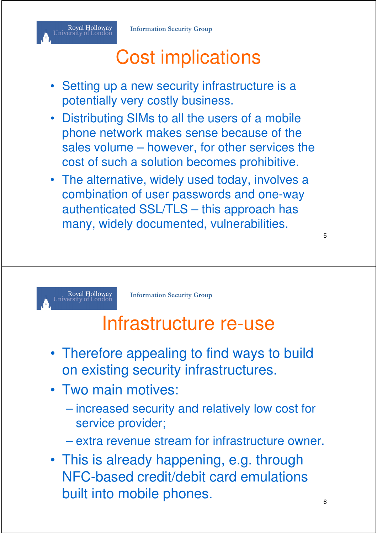# Cost implications

- Setting up a new security infrastructure is a potentially very costly business.
- Distributing SIMs to all the users of a mobile phone network makes sense because of the sales volume – however, for other services the cost of such a solution becomes prohibitive.
- The alternative, widely used today, involves a combination of user passwords and one-way authenticated SSL/TLS – this approach has many, widely documented, vulnerabilities.

5

Royal Holloway<br>Jniversity of London

**Information Security Group**

#### Infrastructure re-use

- Therefore appealing to find ways to build on existing security infrastructures.
- Two main motives:
	- increased security and relatively low cost for service provider;
	- extra revenue stream for infrastructure owner.
- This is already happening, e.g. through NFC-based credit/debit card emulations built into mobile phones.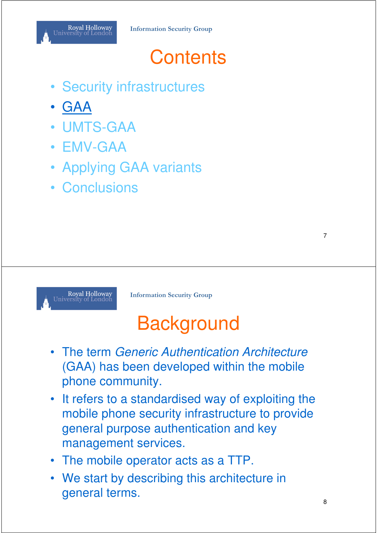#### **Contents**

- Security infrastructures
- GAA
- UMTS-GAA
- EMV-GAA
- Applying GAA variants
- Conclusions



**Information Security Group**

# **Background**

- The term Generic Authentication Architecture (GAA) has been developed within the mobile phone community.
- It refers to a standardised way of exploiting the mobile phone security infrastructure to provide general purpose authentication and key management services.
- The mobile operator acts as a TTP.
- We start by describing this architecture in general terms.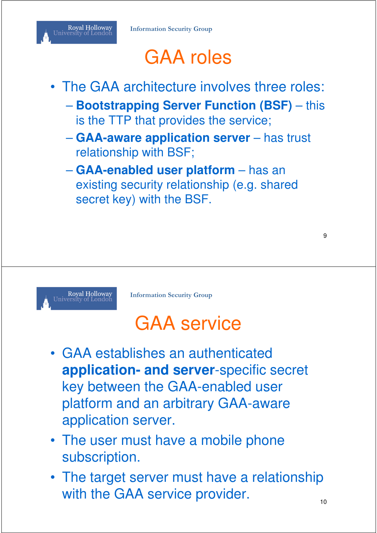

# GAA roles

- The GAA architecture involves three roles:
	- **Bootstrapping Server Function (BSF)** this is the TTP that provides the service;
	- **GAA-aware application server** has trust relationship with BSF;
	- **GAA-enabled user platform** has an existing security relationship (e.g. shared secret key) with the BSF.



**Information Security Group**

#### GAA service

- GAA establishes an authenticated **application- and server**-specific secret key between the GAA-enabled user platform and an arbitrary GAA-aware application server.
- The user must have a mobile phone subscription.
- The target server must have a relationship with the GAA service provider.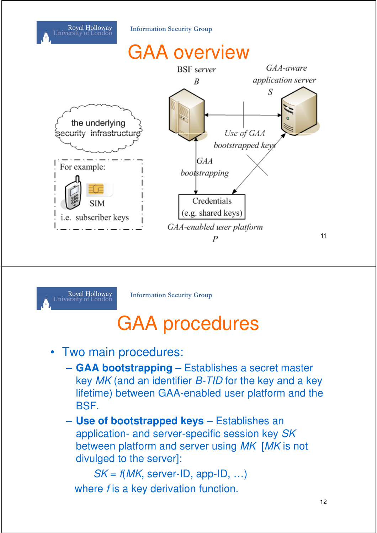



**Information Security Group**

## GAA procedures

- Two main procedures:
	- **GAA bootstrapping** Establishes a secret master key MK (and an identifier B-TID for the key and a key lifetime) between GAA-enabled user platform and the BSF.
	- **Use of bootstrapped keys** Establishes an application- and server-specific session key SK between platform and server using MK [MK is not divulged to the server]:

 $SK = f(MK, server-ID, app-ID, ...)$ where f is a key derivation function.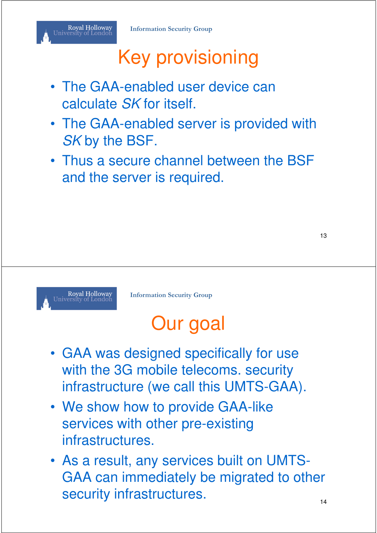# Key provisioning

- The GAA-enabled user device can calculate SK for itself.
- The GAA-enabled server is provided with SK by the BSF.
- Thus a secure channel between the BSF and the server is required.



**Information Security Group**

# Our goal

- GAA was designed specifically for use with the 3G mobile telecoms. security infrastructure (we call this UMTS-GAA).
- We show how to provide GAA-like services with other pre-existing infrastructures.
- As a result, any services built on UMTS-GAA can immediately be migrated to other security infrastructures.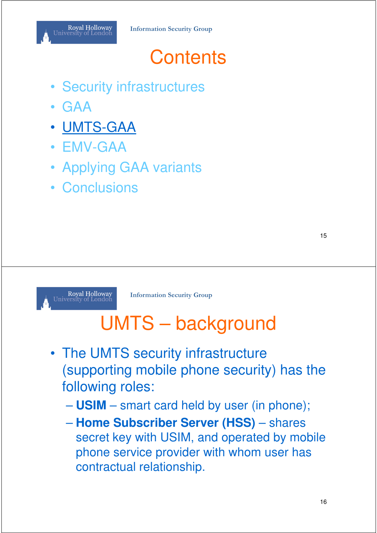

#### **Contents**

- Security infrastructures
- GAA
- UMTS-GAA
- EMV-GAA
- Applying GAA variants
- Conclusions



**Information Security Group**

# UMTS – background

- The UMTS security infrastructure (supporting mobile phone security) has the following roles:
	- **USIM** smart card held by user (in phone);
	- **Home Subscriber Server (HSS)** shares secret key with USIM, and operated by mobile phone service provider with whom user has contractual relationship.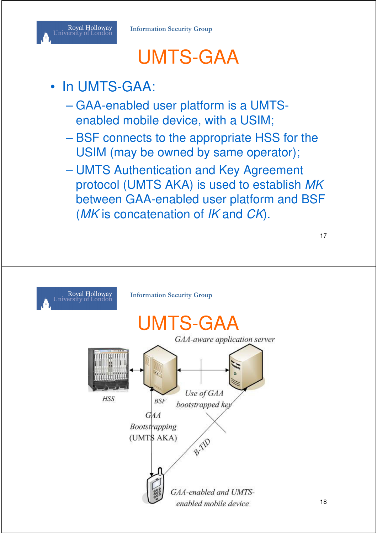## UMTS-GAA

#### In UMTS-GAA:

- GAA-enabled user platform is a UMTSenabled mobile device, with a USIM;
- BSF connects to the appropriate HSS for the USIM (may be owned by same operator);
- UMTS Authentication and Key Agreement protocol (UMTS AKA) is used to establish MK between GAA-enabled user platform and BSF (MK is concatenation of IK and CK).

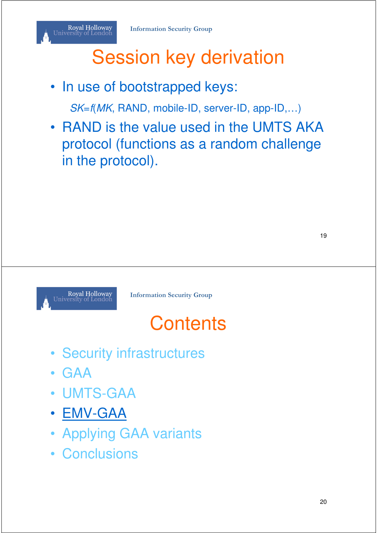# Session key derivation

• In use of bootstrapped keys:

SK=f(MK, RAND, mobile-ID, server-ID, app-ID,…)

• RAND is the value used in the UMTS AKA protocol (functions as a random challenge in the protocol).

Ro<mark>yal Holloway</mark><br>Jniversity of London

**Information Security Group**

## **Contents**

- Security infrastructures
- GAA
- UMTS-GAA
- EMV-GAA
- Applying GAA variants
- Conclusions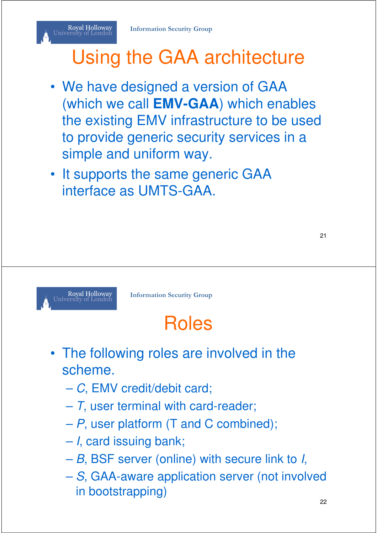# Using the GAA architecture

- We have designed a version of GAA (which we call **EMV-GAA**) which enables the existing EMV infrastructure to be used to provide generic security services in a simple and uniform way.
- It supports the same generic GAA interface as UMTS-GAA.



**Information Security Group**

# Roles

- The following roles are involved in the scheme.
	- C, EMV credit/debit card;
	- $-7$ , user terminal with card-reader;
	- P, user platform (T and C combined);
	- I, card issuing bank;
	- B, BSF server (online) with secure link to I,
	- S, GAA-aware application server (not involved in bootstrapping)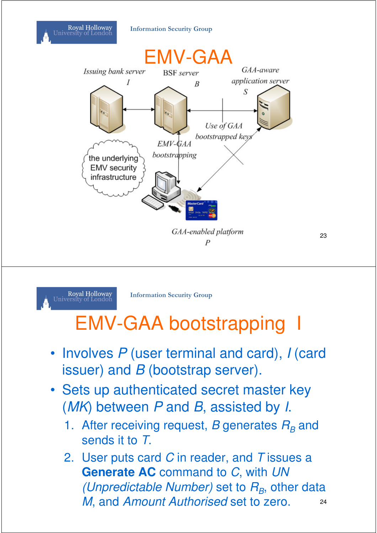#### **Information Security Group**

Royal Holloway<br>University of London



23



**Information Security Group**

## EMV-GAA bootstrapping

- Involves P (user terminal and card), I (card issuer) and  $B$  (bootstrap server).
- Sets up authenticated secret master key (MK) between P and B, assisted by I.
	- 1. After receiving request, B generates  $R_B$  and sends it to T.
	- 2. User puts card  $C$  in reader, and  $T$  issues a **Generate AC** command to C, with UN (Unpredictable Number) set to  $R_B$ , other data M, and Amount Authorised set to zero. 24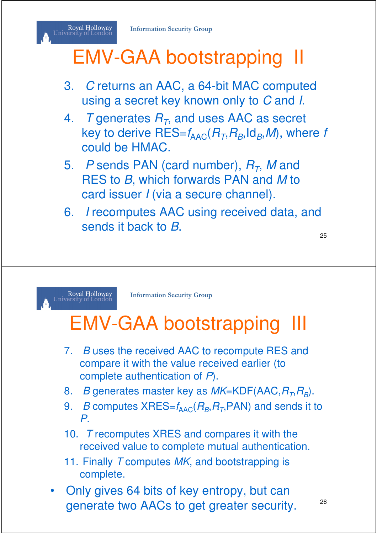#### Royal Holloway<br>University of London EMV-GAA bootstrapping II

#### 3. C returns an AAC, a 64-bit MAC computed using a secret key known only to C and I.

- 4. T generates  $R_T$ , and uses AAC as secret key to derive  $\mathsf{RES}{=} \mathit{f}_{\mathsf{AAC}}(R_{\mathit{T}}, R_{\mathit{B}}, \mathsf{Id}_{\mathit{B}}, \mathit{M}),$  where  $f$ could be HMAC.
- 5.  $P$  sends PAN (card number),  $R_T$ , M and RES to B, which forwards PAN and M to card issuer *I* (via a secure channel).
- 6. I recomputes AAC using received data, and sends it back to B.

25



**Information Security Group**

# **EMV-GAA bootstrapping**

- 7. B uses the received AAC to recompute RES and compare it with the value received earlier (to complete authentication of P).
- 8. *B* generates master key as *MK*=KDF(AAC, $R_{\textit{T}}$ , $R_{\textit{B}}$ ).
- 9. *B* computes  $XRES=f_{\text{AAC}}(R_B, R_T, PAN)$  and sends it to P.
- 10. T recomputes XRES and compares it with the received value to complete mutual authentication.
- 11. Finally T computes MK, and bootstrapping is complete.
- Only gives 64 bits of key entropy, but can generate two AACs to get greater security. <sup>26</sup>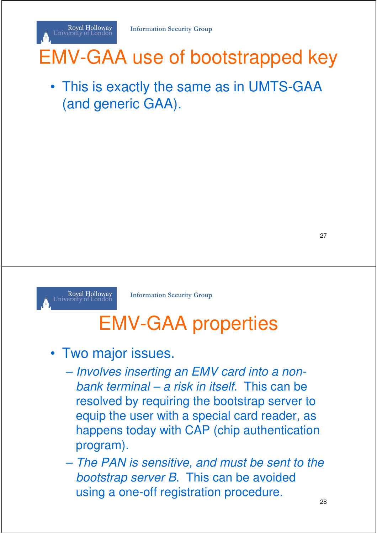# EMV-GAA use of bootstrapped key

• This is exactly the same as in UMTS-GAA (and generic GAA).

27



Royal Holloway<br>University of London

**Information Security Group**

# EMV-GAA properties

#### • Two major issues.

- Involves inserting an EMV card into a nonbank terminal – a risk in itself. This can be resolved by requiring the bootstrap server to equip the user with a special card reader, as happens today with CAP (chip authentication program).
- The PAN is sensitive, and must be sent to the bootstrap server B. This can be avoided using a one-off registration procedure.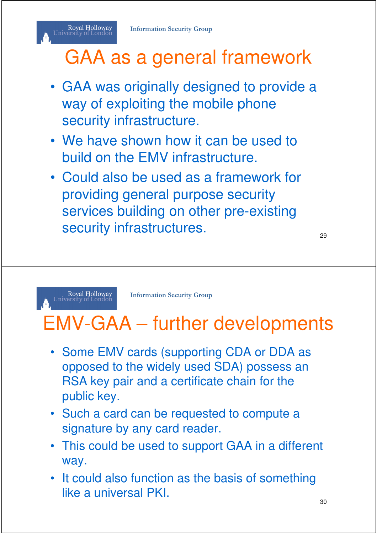# GAA as a general framework

- GAA was originally designed to provide a way of exploiting the mobile phone security infrastructure.
- We have shown how it can be used to build on the EMV infrastructure.
- Could also be used as a framework for providing general purpose security services building on other pre-existing security infrastructures.

29

Royal Holloway<br>University of London

Royal Holloway<br>University of London

**Information Security Group**

## EMV-GAA – further developments

- Some EMV cards (supporting CDA or DDA as opposed to the widely used SDA) possess an RSA key pair and a certificate chain for the public key.
- Such a card can be requested to compute a signature by any card reader.
- This could be used to support GAA in a different way.
- It could also function as the basis of something like a universal PKI.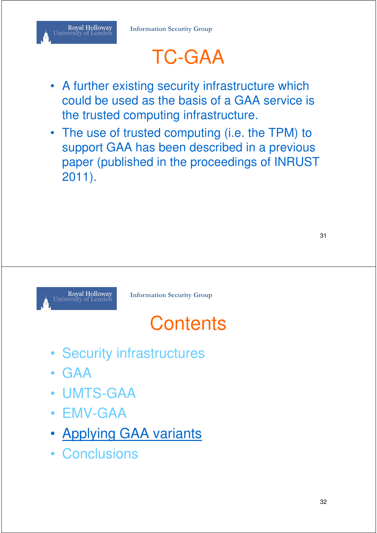# TC-GAA

- A further existing security infrastructure which could be used as the basis of a GAA service is the trusted computing infrastructure.
- The use of trusted computing (i.e. the TPM) to support GAA has been described in a previous paper (published in the proceedings of INRUST 2011).



**Information Security Group**

# **Contents**

- Security infrastructures
- GAA
- UMTS-GAA
- EMV-GAA
- Applying GAA variants
- Conclusions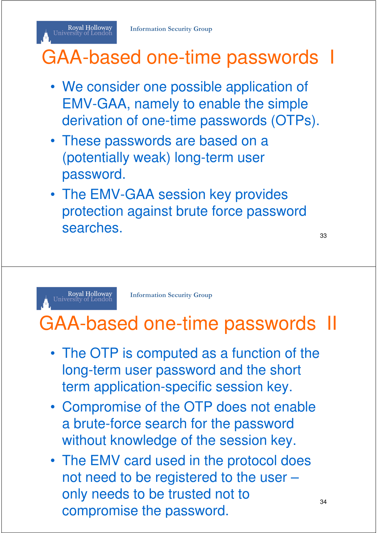# GAA-based one-time passwords I

- We consider one possible application of EMV-GAA, namely to enable the simple derivation of one-time passwords (OTPs).
- These passwords are based on a (potentially weak) long-term user password.
- The EMV-GAA session key provides protection against brute force password searches.

33

34

Royal Holloway<br>University of London

Royal Holloway<br>University of London

**Information Security Group**

## GAA-based one-time passwords II

- The OTP is computed as a function of the long-term user password and the short term application-specific session key.
- Compromise of the OTP does not enable a brute-force search for the password without knowledge of the session key.
- The EMV card used in the protocol does not need to be registered to the user – only needs to be trusted not to compromise the password.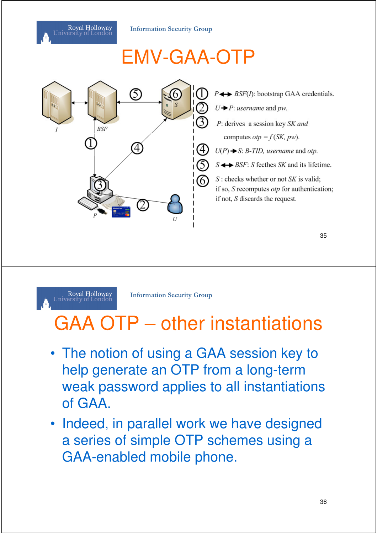**Information Security Group**

# EMV-GAA-OTP





**Information Security Group**

# GAA OTP – other instantiations

- The notion of using a GAA session key to help generate an OTP from a long-term weak password applies to all instantiations of GAA.
- Indeed, in parallel work we have designed a series of simple OTP schemes using a GAA-enabled mobile phone.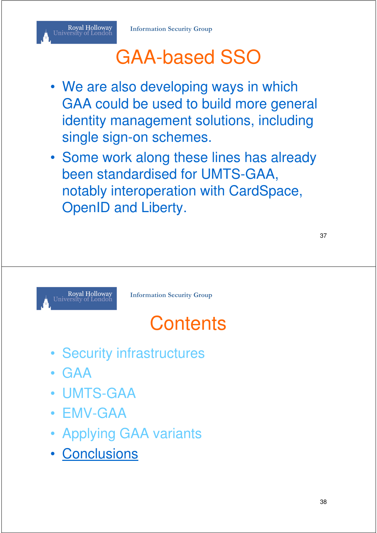# GAA-based SSO

- We are also developing ways in which GAA could be used to build more general identity management solutions, including single sign-on schemes.
- Some work along these lines has already been standardised for UMTS-GAA, notably interoperation with CardSpace, OpenID and Liberty.



**Information Security Group**

# **Contents**

- Security infrastructures
- GAA
- UMTS-GAA
- EMV-GAA
- Applying GAA variants
- Conclusions